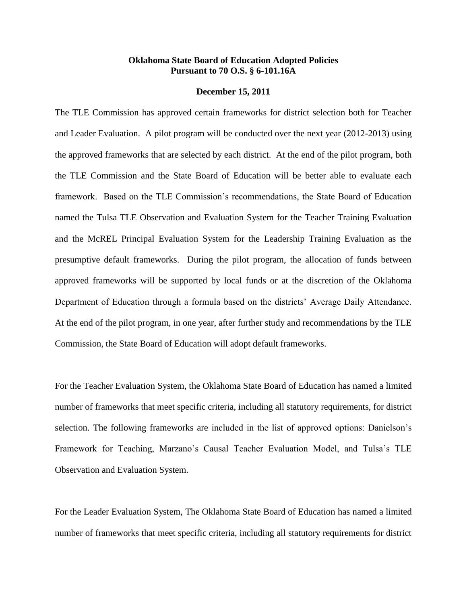## **Oklahoma State Board of Education Adopted Policies Pursuant to 70 O.S. § 6-101.16A**

## **December 15, 2011**

The TLE Commission has approved certain frameworks for district selection both for Teacher and Leader Evaluation. A pilot program will be conducted over the next year (2012-2013) using the approved frameworks that are selected by each district. At the end of the pilot program, both the TLE Commission and the State Board of Education will be better able to evaluate each framework. Based on the TLE Commission's recommendations, the State Board of Education named the Tulsa TLE Observation and Evaluation System for the Teacher Training Evaluation and the McREL Principal Evaluation System for the Leadership Training Evaluation as the presumptive default frameworks. During the pilot program, the allocation of funds between approved frameworks will be supported by local funds or at the discretion of the Oklahoma Department of Education through a formula based on the districts' Average Daily Attendance. At the end of the pilot program, in one year, after further study and recommendations by the TLE Commission, the State Board of Education will adopt default frameworks.

For the Teacher Evaluation System, the Oklahoma State Board of Education has named a limited number of frameworks that meet specific criteria, including all statutory requirements, for district selection. The following frameworks are included in the list of approved options: Danielson's Framework for Teaching, Marzano's Causal Teacher Evaluation Model, and Tulsa's TLE Observation and Evaluation System.

For the Leader Evaluation System, The Oklahoma State Board of Education has named a limited number of frameworks that meet specific criteria, including all statutory requirements for district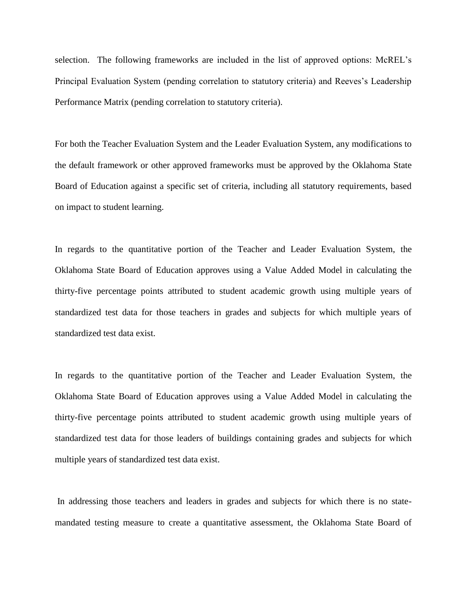selection. The following frameworks are included in the list of approved options: McREL's Principal Evaluation System (pending correlation to statutory criteria) and Reeves's Leadership Performance Matrix (pending correlation to statutory criteria).

For both the Teacher Evaluation System and the Leader Evaluation System, any modifications to the default framework or other approved frameworks must be approved by the Oklahoma State Board of Education against a specific set of criteria, including all statutory requirements, based on impact to student learning.

In regards to the quantitative portion of the Teacher and Leader Evaluation System, the Oklahoma State Board of Education approves using a Value Added Model in calculating the thirty-five percentage points attributed to student academic growth using multiple years of standardized test data for those teachers in grades and subjects for which multiple years of standardized test data exist.

In regards to the quantitative portion of the Teacher and Leader Evaluation System, the Oklahoma State Board of Education approves using a Value Added Model in calculating the thirty-five percentage points attributed to student academic growth using multiple years of standardized test data for those leaders of buildings containing grades and subjects for which multiple years of standardized test data exist.

In addressing those teachers and leaders in grades and subjects for which there is no statemandated testing measure to create a quantitative assessment, the Oklahoma State Board of